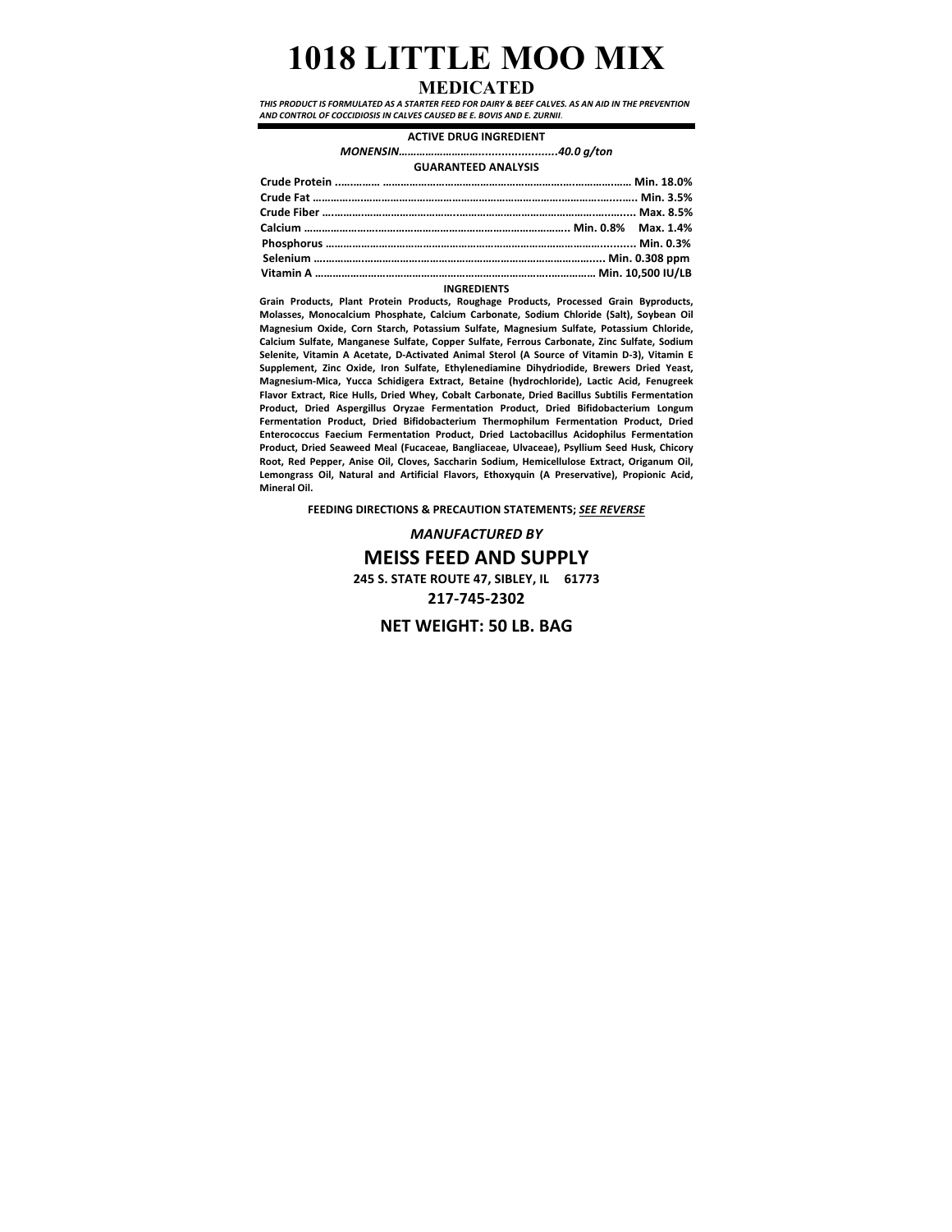# **1018 LITTLE MOO MIX**

## **MEDICATED**

THIS PRODUCT IS FORMULATED AS A STARTER FEED FOR DAIRY & BEEF CALVES. AS AN AID IN THE PREVENTION AND CONTROL OF COCCIDIOSIS IN CALVES CAUSED BE E. BOVIS AND E. ZURNII.

### **ACTIVE DRUG INGREDIENT**

*MONENSIN………………………........................40.0 g/ton* **GUARANTEED ANALYSIS**

| Crude Protein …………… ……………………………………………………………………… Min. 18.0% |
|------------------------------------------------------------|
|                                                            |
| Crude Fiber …………………………………………………………………………………………… Max. 8.5%  |
| Calcium ……………………………………………………………………………… Min. 0.8% Max. 1.4% |
|                                                            |
|                                                            |
|                                                            |
|                                                            |

#### **INGREDIENTS**

**Grain Products, Plant Protein Products, Roughage Products, Processed Grain Byproducts,**  Molasses, Monocalcium Phosphate, Calcium Carbonate, Sodium Chloride (Salt), Soybean Oil Magnesium Oxide, Corn Starch, Potassium Sulfate, Magnesium Sulfate, Potassium Chloride, Calcium Sulfate, Manganese Sulfate, Copper Sulfate, Ferrous Carbonate, Zinc Sulfate, Sodium Selenite, Vitamin A Acetate, D-Activated Animal Sterol (A Source of Vitamin D-3), Vitamin E Supplement, Zinc Oxide, Iron Sulfate, Ethylenediamine Dihydriodide, Brewers Dried Yeast, Magnesium-Mica, Yucca Schidigera Extract, Betaine (hydrochloride), Lactic Acid, Fenugreek Flavor Extract, Rice Hulls, Dried Whey, Cobalt Carbonate, Dried Bacillus Subtilis Fermentation Product, Dried Aspergillus Oryzae Fermentation Product, Dried Bifidobacterium Longum Fermentation Product, Dried Bifidobacterium Thermophilum Fermentation Product, Dried **Enterococcus Faecium Fermentation Product, Dried Lactobacillus Acidophilus Fermentation** Product, Dried Seaweed Meal (Fucaceae, Bangliaceae, Ulvaceae), Psyllium Seed Husk, Chicory Root, Red Pepper, Anise Oil, Cloves, Saccharin Sodium, Hemicellulose Extract, Origanum Oil, Lemongrass Oil, Natural and Artificial Flavors, Ethoxyquin (A Preservative), Propionic Acid, **Mineral Oil.** 

**FEEDING DIRECTIONS & PRECAUTION STATEMENTS; SEE REVERSE** 

*MANUFACTURED BY* **MEISS FEED AND SUPPLY 245 S. STATE ROUTE 47, SIBLEY, IL 61773 217-745-2302**

**NET WEIGHT: 50 LB. BAG**